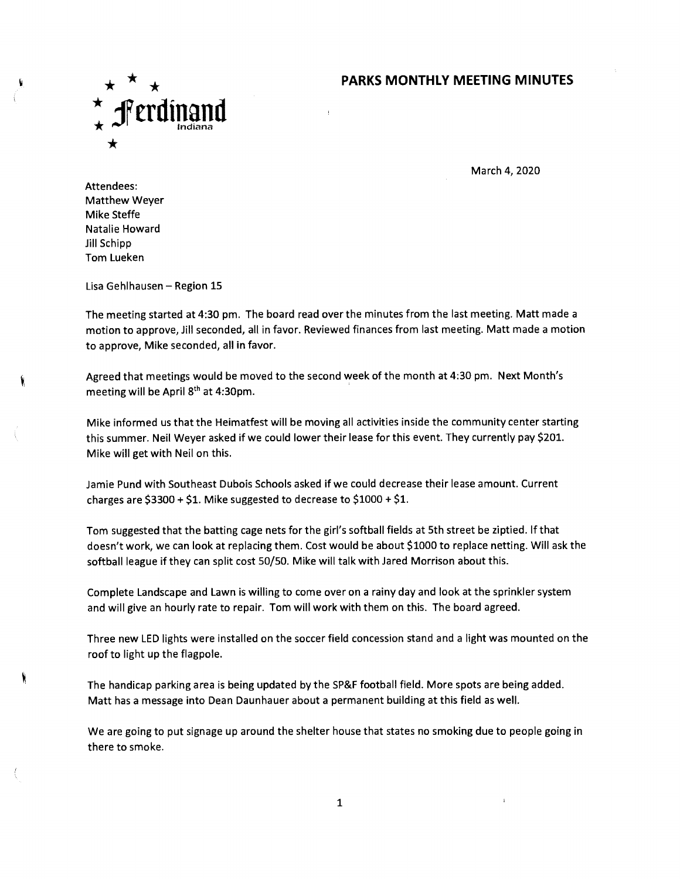## **PARKS MONTHLY MEETING MINUTES**



March 4, 2020

Attendees: Matthew Weyer Mike Steffe Natalie Howard Jill Schipp Tom Lueken

١

Lisa Gehlhausen — Region 15

The meeting started at 4:30 pm. The board read over the minutes from the last meeting. Matt made a motion to approve, Jill seconded, all in favor. Reviewed finances from last meeting. Matt made a motion to approve, Mike seconded, all in favor.

Agreed that meetings would be moved to the second week of the month at 4:30 pm. Next Month's meeting will be April  $8<sup>th</sup>$  at 4:30pm.

Mike informed us that the Heimatfest will be moving all activities inside the community center starting this summer. Neil Weyer asked if we could lower their lease for this event. They currently pay \$201. Mike will get with Neil on this.

Jamie Pund with Southeast Dubois Schools asked if we could decrease their lease amount. Current charges are  $$3300 + $1$ . Mike suggested to decrease to  $$1000 + $1$ .

Tom suggested that the batting cage nets for the girl's softball fields at 5th street be ziptied. lf that doesn't work, we can look at replacing them. Cost would be about \$1000 to replace netting. Will ask the softball league if they can split cost 50/50. Mike will talk with Jared Morrison about this.

Complete Landscape and Lawn is willing to come over on a rainy day and look at the sprinkler system and will give an hourly rate to repair. Tom will work with them on this. The board agreed.

Three new LED lights were installed on the soccer field concession stand and a light was mounted on the roof to light up the flagpole.

The handicap parking area is being updated by the SP&F football field. More spots are being added. Matt has a message into Dean Daunhauer about a permanent building at this field as well.

We are going to put signage up around the shelter house that states no smoking due to people going in there to smoke.